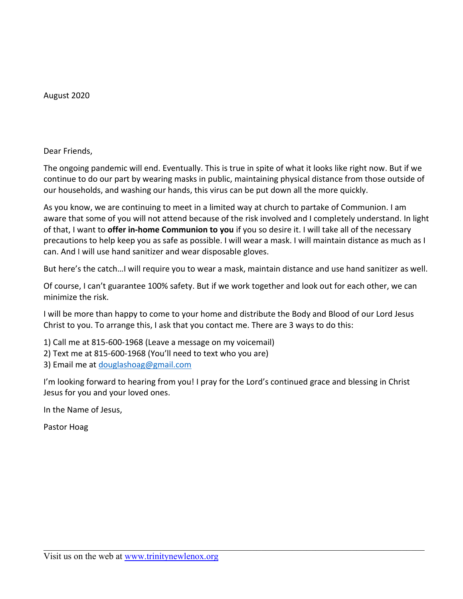August 2020

Dear Friends,

The ongoing pandemic will end. Eventually. This is true in spite of what it looks like right now. But if we continue to do our part by wearing masks in public, maintaining physical distance from those outside of our households, and washing our hands, this virus can be put down all the more quickly.

As you know, we are continuing to meet in a limited way at church to partake of Communion. I am aware that some of you will not attend because of the risk involved and I completely understand. In light of that, I want to **offer in-home Communion to you** if you so desire it. I will take all of the necessary precautions to help keep you as safe as possible. I will wear a mask. I will maintain distance as much as I can. And I will use hand sanitizer and wear disposable gloves.

But here's the catch…I will require you to wear a mask, maintain distance and use hand sanitizer as well.

Of course, I can't guarantee 100% safety. But if we work together and look out for each other, we can minimize the risk.

I will be more than happy to come to your home and distribute the Body and Blood of our Lord Jesus Christ to you. To arrange this, I ask that you contact me. There are 3 ways to do this:

- 1) Call me at 815-600-1968 (Leave a message on my voicemail)
- 2) Text me at 815-600-1968 (You'll need to text who you are)
- 3) Email me at [douglashoag@gmail.com](mailto:douglashoag@gmail.com)

I'm looking forward to hearing from you! I pray for the Lord's continued grace and blessing in Christ Jesus for you and your loved ones.

In the Name of Jesus,

Pastor Hoag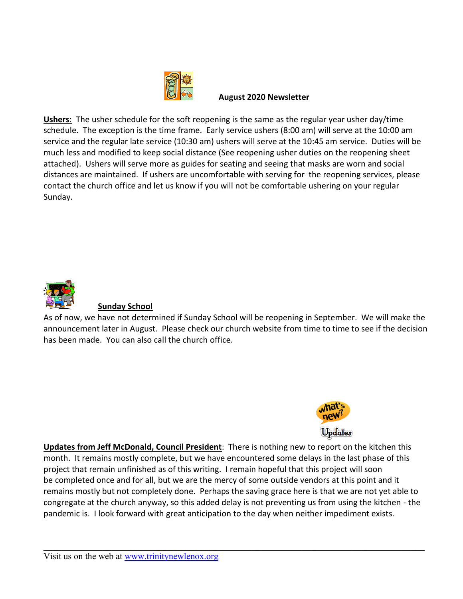

#### **August 2020 Newsletter**

**Ushers**: The usher schedule for the soft reopening is the same as the regular year usher day/time schedule. The exception is the time frame. Early service ushers (8:00 am) will serve at the 10:00 am service and the regular late service (10:30 am) ushers will serve at the 10:45 am service. Duties will be much less and modified to keep social distance (See reopening usher duties on the reopening sheet attached). Ushers will serve more as guides for seating and seeing that masks are worn and social distances are maintained. If ushers are uncomfortable with serving for the reopening services, please contact the church office and let us know if you will not be comfortable ushering on your regular Sunday.



# **Sunday School**

As of now, we have not determined if Sunday School will be reopening in September. We will make the announcement later in August. Please check our church website from time to time to see if the decision has been made. You can also call the church office.



**Updates from Jeff McDonald, Council President**: There is nothing new to report on the kitchen this month. It remains mostly complete, but we have encountered some delays in the last phase of this project that remain unfinished as of this writing. I remain hopeful that this project will soon be completed once and for all, but we are the mercy of some outside vendors at this point and it remains mostly but not completely done. Perhaps the saving grace here is that we are not yet able to congregate at the church anyway, so this added delay is not preventing us from using the kitchen - the pandemic is. I look forward with great anticipation to the day when neither impediment exists.

Visit us on the web at [www.trinitynewlenox.org](http://www.trinitynewlenox.org/)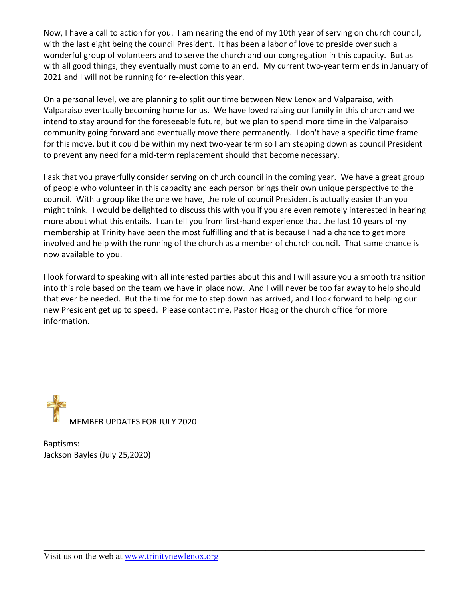Now, I have a call to action for you. I am nearing the end of my 10th year of serving on church council, with the last eight being the council President. It has been a labor of love to preside over such a wonderful group of volunteers and to serve the church and our congregation in this capacity. But as with all good things, they eventually must come to an end. My current two-year term ends in January of 2021 and I will not be running for re-election this year.

On a personal level, we are planning to split our time between New Lenox and Valparaiso, with Valparaiso eventually becoming home for us. We have loved raising our family in this church and we intend to stay around for the foreseeable future, but we plan to spend more time in the Valparaiso community going forward and eventually move there permanently. I don't have a specific time frame for this move, but it could be within my next two-year term so I am stepping down as council President to prevent any need for a mid-term replacement should that become necessary.

I ask that you prayerfully consider serving on church council in the coming year. We have a great group of people who volunteer in this capacity and each person brings their own unique perspective to the council. With a group like the one we have, the role of council President is actually easier than you might think. I would be delighted to discuss this with you if you are even remotely interested in hearing more about what this entails. I can tell you from first-hand experience that the last 10 years of my membership at Trinity have been the most fulfilling and that is because I had a chance to get more involved and help with the running of the church as a member of church council. That same chance is now available to you.

I look forward to speaking with all interested parties about this and I will assure you a smooth transition into this role based on the team we have in place now. And I will never be too far away to help should that ever be needed. But the time for me to step down has arrived, and I look forward to helping our new President get up to speed. Please contact me, Pastor Hoag or the church office for more information.



Baptisms: Jackson Bayles (July 25,2020)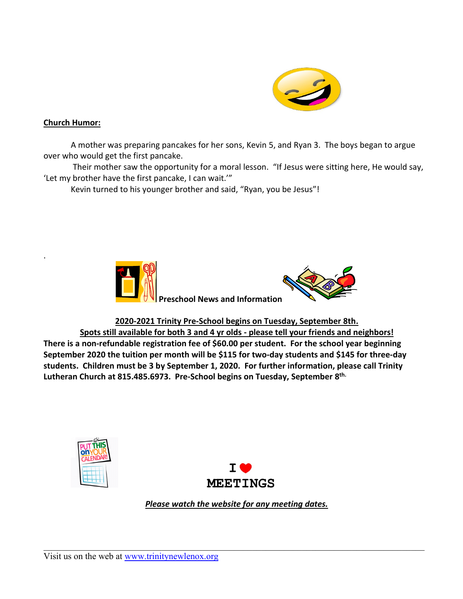

### **Church Humor:**

.

A mother was preparing pancakes for her sons, Kevin 5, and Ryan 3. The boys began to argue over who would get the first pancake.

Their mother saw the opportunity for a moral lesson. "If Jesus were sitting here, He would say, 'Let my brother have the first pancake, I can wait.'"

Kevin turned to his younger brother and said, "Ryan, you be Jesus"!



## **2020-2021 Trinity Pre-School begins on Tuesday, September 8th.**

**Spots still available for both 3 and 4 yr olds - please tell your friends and neighbors! There is a non-refundable registration fee of \$60.00 per student. For the school year beginning September 2020 the tuition per month will be \$115 for two-day students and \$145 for three-day students. Children must be 3 by September 1, 2020. For further information, please call Trinity Lutheran Church at 815.485.6973. Pre-School begins on Tuesday, September 8 th.**





*Please watch the website for any meeting dates.*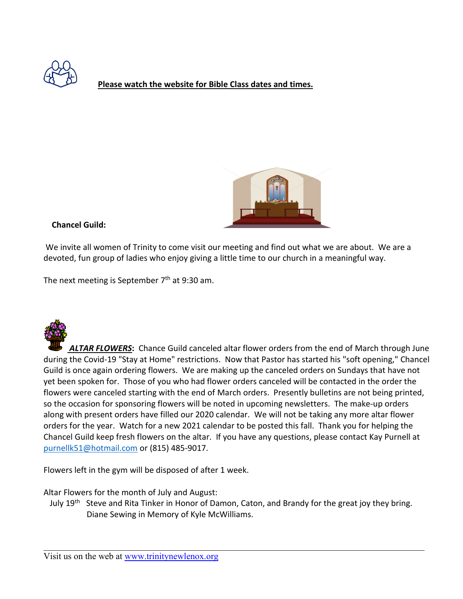

**Please watch the website for Bible Class dates and times.**



### **Chancel Guild:**

We invite all women of Trinity to come visit our meeting and find out what we are about. We are a devoted, fun group of ladies who enjoy giving a little time to our church in a meaningful way.

The next meeting is September 7<sup>th</sup> at 9:30 am.



*ALTAR FLOWERS***:** Chance Guild canceled altar flower orders from the end of March through June during the Covid-19 "Stay at Home" restrictions. Now that Pastor has started his "soft opening," Chancel Guild is once again ordering flowers. We are making up the canceled orders on Sundays that have not yet been spoken for. Those of you who had flower orders canceled will be contacted in the order the flowers were canceled starting with the end of March orders. Presently bulletins are not being printed, so the occasion for sponsoring flowers will be noted in upcoming newsletters. The make-up orders along with present orders have filled our 2020 calendar. We will not be taking any more altar flower orders for the year. Watch for a new 2021 calendar to be posted this fall. Thank you for helping the Chancel Guild keep fresh flowers on the altar. If you have any questions, please contact Kay Purnell at [purnellk51@hotmail.com](mailto:purnellk51@hotmail.com) or (815) 485-9017.

Flowers left in the gym will be disposed of after 1 week.

Altar Flowers for the month of July and August:

July 19<sup>th</sup> Steve and Rita Tinker in Honor of Damon, Caton, and Brandy for the great joy they bring. Diane Sewing in Memory of Kyle McWilliams.

Visit us on the web at [www.trinitynewlenox.org](http://www.trinitynewlenox.org/)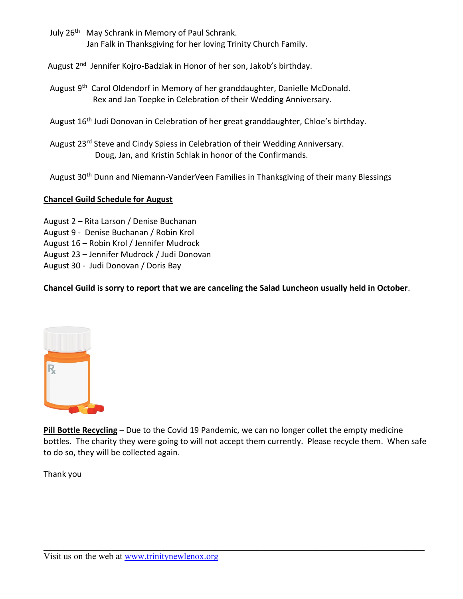July 26<sup>th</sup> May Schrank in Memory of Paul Schrank. Jan Falk in Thanksgiving for her loving Trinity Church Family.

August 2<sup>nd</sup> Jennifer Kojro-Badziak in Honor of her son, Jakob's birthday.

- August 9<sup>th</sup> Carol Oldendorf in Memory of her granddaughter, Danielle McDonald. Rex and Jan Toepke in Celebration of their Wedding Anniversary.
	- August 16th Judi Donovan in Celebration of her great granddaughter, Chloe's birthday.
	- August 23<sup>rd</sup> Steve and Cindy Spiess in Celebration of their Wedding Anniversary. Doug, Jan, and Kristin Schlak in honor of the Confirmands.

August 30<sup>th</sup> Dunn and Niemann-VanderVeen Families in Thanksgiving of their many Blessings

## **Chancel Guild Schedule for August**

- August 2 Rita Larson / Denise Buchanan
- August 9 Denise Buchanan / Robin Krol
- August 16 Robin Krol / Jennifer Mudrock
- August 23 Jennifer Mudrock / Judi Donovan
- August 30 Judi Donovan / Doris Bay

**Chancel Guild is sorry to report that we are canceling the Salad Luncheon usually held in October**.



**Pill Bottle Recycling** – Due to the Covid 19 Pandemic, we can no longer collet the empty medicine bottles. The charity they were going to will not accept them currently. Please recycle them. When safe to do so, they will be collected again.

Thank you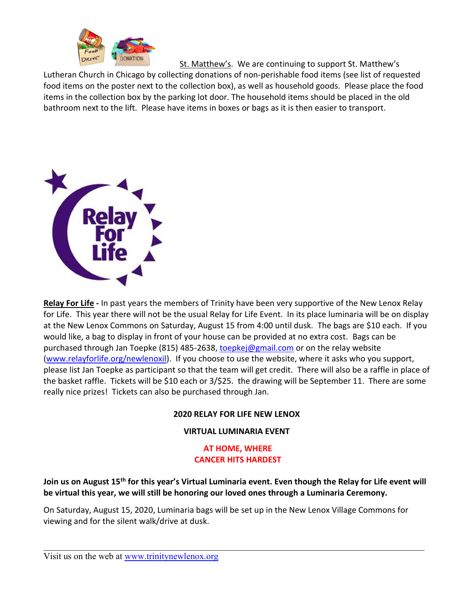

St. Matthew's. We are continuing to support St. Matthew's

Lutheran Church in Chicago by collecting donations of non-perishable food items (see list of requested food items on the poster next to the collection box), as well as household goods. Please place the food items in the collection box by the parking lot door. The household items should be placed in the old bathroom next to the lift. Please have items in boxes or bags as it is then easier to transport.



**Relay For Life -** In past years the members of Trinity have been very supportive of the New Lenox Relay for Life. This year there will not be the usual Relay for Life Event. In its place luminaria will be on display at the New Lenox Commons on Saturday, August 15 from 4:00 until dusk. The bags are \$10 each. If you would like, a bag to display in front of your house can be provided at no extra cost. Bags can be purchased through Jan Toepke (815) 485-2638, [toepkej@gmail.com](mailto:toepkej@gmail.com) or on the relay website [\(www.relayforlife.org/newlenoxil\)](http://www.relayforlife.org/newlenoxil). If you choose to use the website, where it asks who you support, please list Jan Toepke as participant so that the team will get credit. There will also be a raffle in place of the basket raffle. Tickets will be \$10 each or 3/\$25. the drawing will be September 11. There are some really nice prizes! Tickets can also be purchased through Jan.

## **2020 RELAY FOR LIFE NEW LENOX**

#### **VIRTUAL LUMINARIA EVENT**

## **AT HOME, WHERE CANCER HITS HARDEST**

**Join us on August 15th for this year's Virtual Luminaria event. Even though the Relay for Life event will be virtual this year, we will still be honoring our loved ones through a Luminaria Ceremony.**

On Saturday, August 15, 2020, Luminaria bags will be set up in the New Lenox Village Commons for viewing and for the silent walk/drive at dusk.